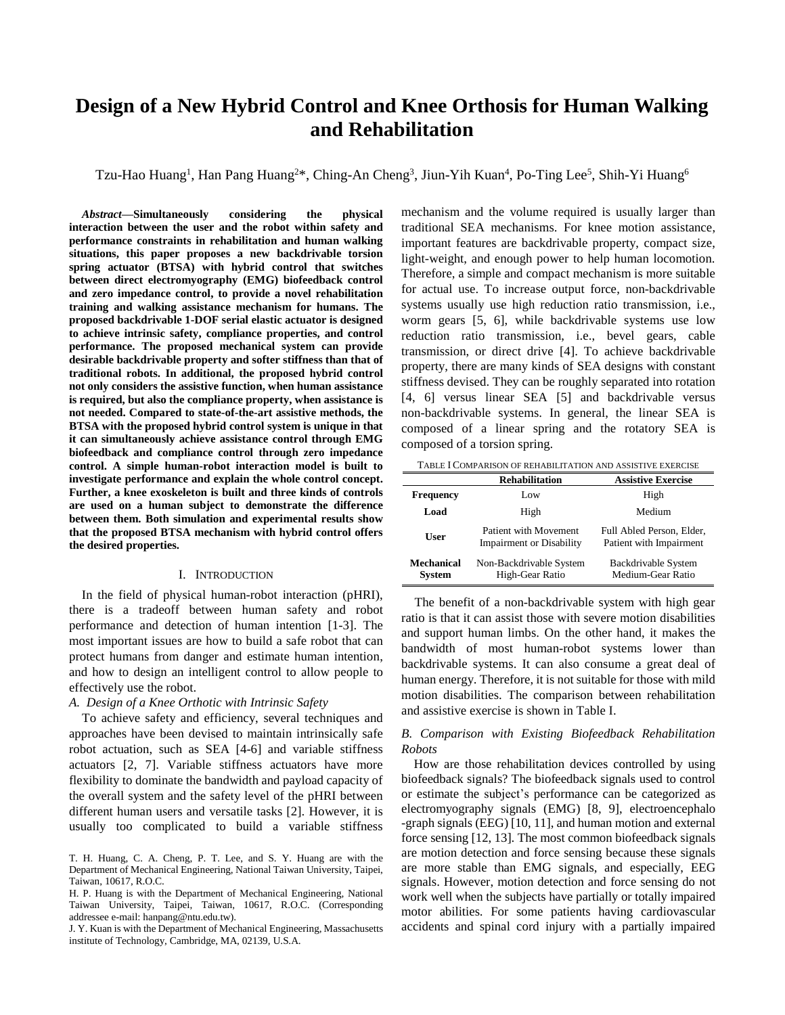# **Design of a New Hybrid Control and Knee Orthosis for Human Walking and Rehabilitation**

Tzu-Hao Huang<sup>1</sup>, Han Pang Huang<sup>2\*</sup>, Ching-An Cheng<sup>3</sup>, Jiun-Yih Kuan<sup>4</sup>, Po-Ting Lee<sup>5</sup>, Shih-Yi Huang<sup>6</sup>

*Abstract***—Simultaneously considering the physical interaction between the user and the robot within safety and performance constraints in rehabilitation and human walking situations, this paper proposes a new backdrivable torsion spring actuator (BTSA) with hybrid control that switches between direct electromyography (EMG) biofeedback control and zero impedance control, to provide a novel rehabilitation training and walking assistance mechanism for humans. The proposed backdrivable 1-DOF serial elastic actuator is designed to achieve intrinsic safety, compliance properties, and control performance. The proposed mechanical system can provide desirable backdrivable property and softer stiffness than that of traditional robots. In additional, the proposed hybrid control not only considers the assistive function, when human assistance is required, but also the compliance property, when assistance is not needed. Compared to state-of-the-art assistive methods, the BTSA with the proposed hybrid control system is unique in that it can simultaneously achieve assistance control through EMG biofeedback and compliance control through zero impedance control. A simple human-robot interaction model is built to investigate performance and explain the whole control concept. Further, a knee exoskeleton is built and three kinds of controls are used on a human subject to demonstrate the difference between them. Both simulation and experimental results show that the proposed BTSA mechanism with hybrid control offers the desired properties.**

#### I. INTRODUCTION

In the field of physical human-robot interaction (pHRI), there is a tradeoff between human safety and robot performance and detection of human intention [\[1-3\]](#page-5-0). The most important issues are how to build a safe robot that can protect humans from danger and estimate human intention, and how to design an intelligent control to allow people to effectively use the robot.

#### *A. Design of a Knee Orthotic with Intrinsic Safety*

To achieve safety and efficiency, several techniques and approaches have been devised to maintain intrinsically safe robot actuation, such as SEA [\[4-6\]](#page-5-1) and variable stiffness actuators [\[2,](#page-5-2) [7\]](#page-5-3). Variable stiffness actuators have more flexibility to dominate the bandwidth and payload capacity of the overall system and the safety level of the pHRI between different human users and versatile tasks [\[2\]](#page-5-2). However, it is usually too complicated to build a variable stiffness

mechanism and the volume required is usually larger than traditional SEA mechanisms. For knee motion assistance, important features are backdrivable property, compact size, light-weight, and enough power to help human locomotion. Therefore, a simple and compact mechanism is more suitable for actual use. To increase output force, non-backdrivable systems usually use high reduction ratio transmission, i.e., worm gears [\[5,](#page-5-4) [6\]](#page-5-5), while backdrivable systems use low reduction ratio transmission, i.e., bevel gears, cable transmission, or direct drive [\[4\]](#page-5-1). To achieve backdrivable property, there are many kinds of SEA designs with constant stiffness devised. They can be roughly separated into rotation [\[4,](#page-5-1) [6\]](#page-5-5) versus linear SEA [\[5\]](#page-5-4) and backdrivable versus non-backdrivable systems. In general, the linear SEA is composed of a linear spring and the rotatory SEA is composed of a torsion spring.

| TABLE I COMPARISON OF REHABILITATION AND ASSISTIVE EXERCISE |                                                          |                                                      |  |
|-------------------------------------------------------------|----------------------------------------------------------|------------------------------------------------------|--|
|                                                             | <b>Rehabilitation</b>                                    | <b>Assistive Exercise</b>                            |  |
| <b>Frequency</b>                                            | Low                                                      | High                                                 |  |
| Load                                                        | High                                                     | Medium                                               |  |
| <b>User</b>                                                 | Patient with Movement<br><b>Impairment or Disability</b> | Full Abled Person, Elder,<br>Patient with Impairment |  |
| <b>Mechanical</b><br><b>System</b>                          | Non-Backdrivable System<br>High-Gear Ratio               | Backdrivable System<br>Medium-Gear Ratio             |  |

The benefit of a non-backdrivable system with high gear ratio is that it can assist those with severe motion disabilities and support human limbs. On the other hand, it makes the bandwidth of most human-robot systems lower than backdrivable systems. It can also consume a great deal of human energy. Therefore, it is not suitable for those with mild motion disabilities. The comparison between rehabilitation and assistive exercise is shown in Table I.

# *B. Comparison with Existing Biofeedback Rehabilitation Robots*

How are those rehabilitation devices controlled by using biofeedback signals? The biofeedback signals used to control or estimate the subject's performance can be categorized as electromyography signals (EMG) [\[8,](#page-5-6) [9\]](#page-5-7), electroencephalo -graph signals (EEG) [\[10,](#page-5-8) [11\]](#page-5-9), and human motion and external force sensing [\[12,](#page-5-10) [13\]](#page-5-11). The most common biofeedback signals are motion detection and force sensing because these signals are more stable than EMG signals, and especially, EEG signals. However, motion detection and force sensing do not work well when the subjects have partially or totally impaired motor abilities. For some patients having cardiovascular accidents and spinal cord injury with a partially impaired

T. H. Huang, C. A. Cheng, P. T. Lee, and S. Y. Huang are with the Department of Mechanical Engineering, National Taiwan University, Taipei, Taiwan, 10617, R.O.C.

H. P. Huang is with the Department of Mechanical Engineering, National Taiwan University, Taipei, Taiwan, 10617, R.O.C. (Corresponding addressee e-mail: hanpang@ntu.edu.tw).

J. Y. Kuan is with the Department of Mechanical Engineering, Massachusetts institute of Technology, Cambridge, MA, 02139, U.S.A.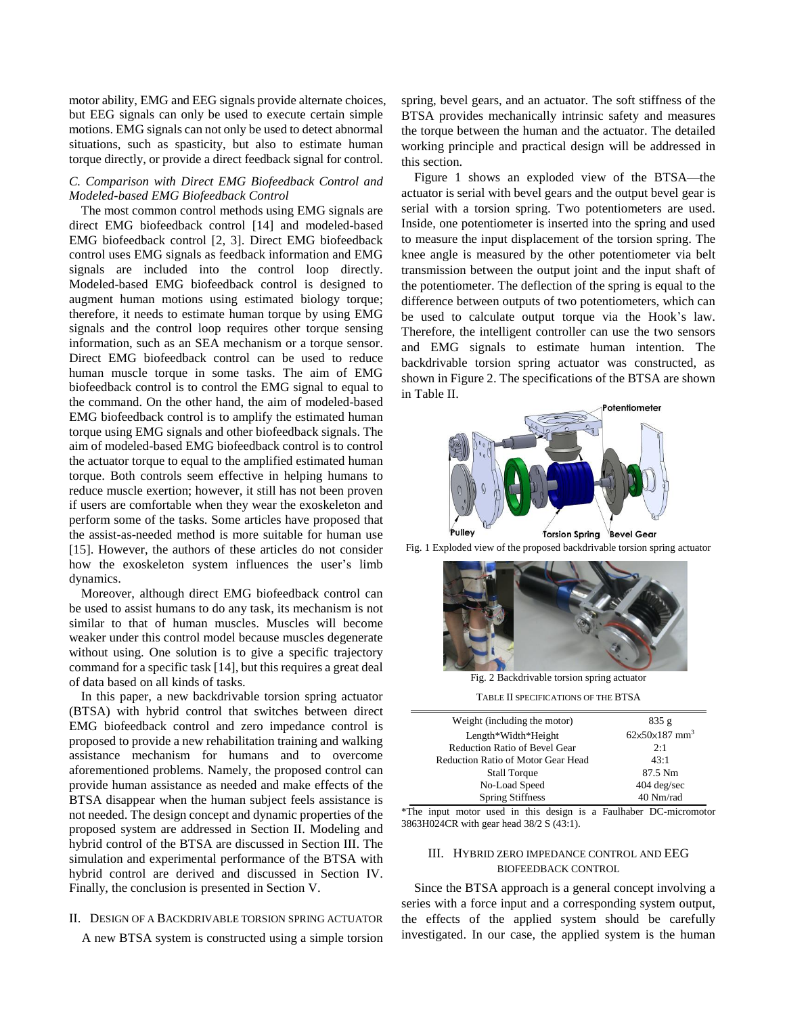motor ability, EMG and EEG signals provide alternate choices, but EEG signals can only be used to execute certain simple motions. EMG signals can not only be used to detect abnormal situations, such as spasticity, but also to estimate human torque directly, or provide a direct feedback signal for control.

# *C. Comparison with Direct EMG Biofeedback Control and Modeled-based EMG Biofeedback Control*

The most common control methods using EMG signals are direct EMG biofeedback control [\[14\]](#page-5-12) and modeled-based EMG biofeedback control [\[2,](#page-5-2) [3\]](#page-5-13). Direct EMG biofeedback control uses EMG signals as feedback information and EMG signals are included into the control loop directly. Modeled-based EMG biofeedback control is designed to augment human motions using estimated biology torque; therefore, it needs to estimate human torque by using EMG signals and the control loop requires other torque sensing information, such as an SEA mechanism or a torque sensor. Direct EMG biofeedback control can be used to reduce human muscle torque in some tasks. The aim of EMG biofeedback control is to control the EMG signal to equal to the command. On the other hand, the aim of modeled-based EMG biofeedback control is to amplify the estimated human torque using EMG signals and other biofeedback signals. The aim of modeled-based EMG biofeedback control is to control the actuator torque to equal to the amplified estimated human torque. Both controls seem effective in helping humans to reduce muscle exertion; however, it still has not been proven if users are comfortable when they wear the exoskeleton and perform some of the tasks. Some articles have proposed that the assist-as-needed method is more suitable for human use [\[15\]](#page-5-14). However, the authors of these articles do not consider how the exoskeleton system influences the user's limb dynamics.

Moreover, although direct EMG biofeedback control can be used to assist humans to do any task, its mechanism is not similar to that of human muscles. Muscles will become weaker under this control model because muscles degenerate without using. One solution is to give a specific trajectory command for a specific task [\[14\]](#page-5-12), but this requires a great deal of data based on all kinds of tasks.

In this paper, a new backdrivable torsion spring actuator (BTSA) with hybrid control that switches between direct EMG biofeedback control and zero impedance control is proposed to provide a new rehabilitation training and walking assistance mechanism for humans and to overcome aforementioned problems. Namely, the proposed control can provide human assistance as needed and make effects of the BTSA disappear when the human subject feels assistance is not needed. The design concept and dynamic properties of the proposed system are addressed in Section II. Modeling and hybrid control of the BTSA are discussed in Section III. The simulation and experimental performance of the BTSA with hybrid control are derived and discussed in Section IV. Finally, the conclusion is presented in Section V.

# II. DESIGN OF A BACKDRIVABLE TORSION SPRING ACTUATOR

A new BTSA system is constructed using a simple torsion

spring, bevel gears, and an actuator. The soft stiffness of the BTSA provides mechanically intrinsic safety and measures the torque between the human and the actuator. The detailed working principle and practical design will be addressed in this section.

Figure 1 shows an exploded view of the BTSA—the actuator is serial with bevel gears and the output bevel gear is serial with a torsion spring. Two potentiometers are used. Inside, one potentiometer is inserted into the spring and used to measure the input displacement of the torsion spring. The knee angle is measured by the other potentiometer via belt transmission between the output joint and the input shaft of the potentiometer. The deflection of the spring is equal to the difference between outputs of two potentiometers, which can be used to calculate output torque via the Hook's law. Therefore, the intelligent controller can use the two sensors and EMG signals to estimate human intention. The backdrivable torsion spring actuator was constructed, as shown in Figure 2. The specifications of the BTSA are shown in Table II.



Fig. 1 Exploded view of the proposed backdrivable torsion spring actuator



Fig. 2 Backdrivable torsion spring actuator

| TABLE II SPECIFICATIONS OF THE BTSA |  |
|-------------------------------------|--|
|-------------------------------------|--|

| Weight (including the motor)       | 835 g                                 |
|------------------------------------|---------------------------------------|
| Length*Width*Height                | $62\times50\times187$ mm <sup>3</sup> |
| Reduction Ratio of Bevel Gear      | 2:1                                   |
| Reduction Ratio of Motor Gear Head | 43:1                                  |
| <b>Stall Torque</b>                | 87.5 Nm                               |
| No-Load Speed                      | $404 \text{ deg/sec}$                 |
| <b>Spring Stiffness</b>            | 40 Nm/rad                             |

\*The input motor used in this design is a Faulhaber DC-micromotor 3863H024CR with gear head 38/2 S (43:1).

# III. HYBRID ZERO IMPEDANCE CONTROL AND EEG BIOFEEDBACK CONTROL

Since the BTSA approach is a general concept involving a series with a force input and a corresponding system output, the effects of the applied system should be carefully investigated. In our case, the applied system is the human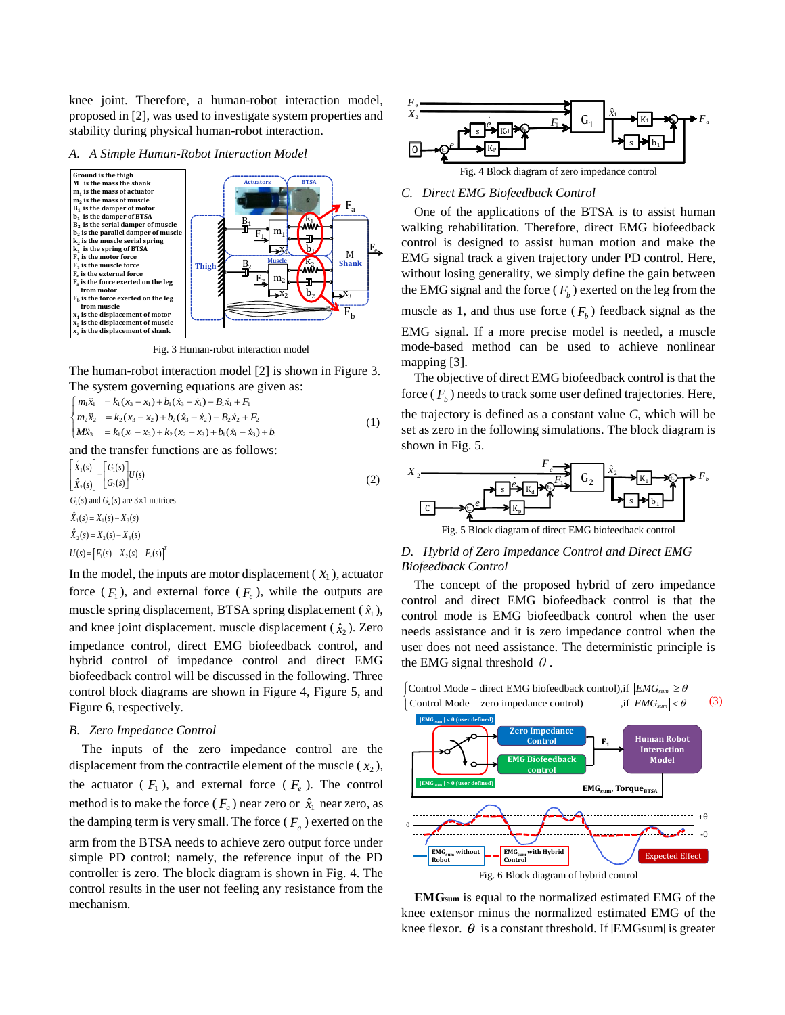knee joint. Therefore, a human-robot interaction model, proposed in [\[2\]](#page-5-2), was used to investigate system properties and stability during physical human-robot interaction.

#### *A. A Simple Human-Robot Interaction Model*



Fig. 3 Human-robot interaction model

The human-robot interaction model [2] is shown in Figure 3. The system governing equations are given as:<br> $\left\{ m_1 \ddot{x}_1 = k_1 (x_3 - x_1) + b_1 (x_3 - x_1) - B_1 \dot{x}_1 + F_1 \right\}$ 

$$
\begin{cases}\nm_1\ddot{x}_1 = k_1(x_3 - x_1) + b_1(\dot{x}_3 - \dot{x}_1) - B_1\dot{x}_1 + F_1 \\
m_2\ddot{x}_2 = k_2(x_3 - x_2) + b_2(\dot{x}_3 - \dot{x}_2) - B_2\dot{x}_2 + F_2 \\
M\ddot{x}_3 = k_1(x_1 - x_3) + k_2(x_2 - x_3) + b_1(\dot{x}_1 - \dot{x}_3) + b_2\n\end{cases} (1)
$$

and the transfer functions are as follows:

$$
\begin{bmatrix} \hat{X}_1(s) \\ \hat{X}_2(s) \end{bmatrix} = \begin{bmatrix} G_1(s) \\ G_2(s) \end{bmatrix} U(s)
$$
\n
$$
G_1(s) \text{ and } G_2(s) \text{ are } 3 \times 1 \text{ matrices}
$$
\n(2)

 $\hat{X}_1(s) = X_1(s) - X_3(s)$ 

 $\hat{X}_2(s) = X_2(s) - X_3(s)$ 

 $U(s) = [F_1(s) \quad X_2(s) \quad F_e(s)]^T$ 

In the model, the inputs are motor displacement  $(x_1)$ , actuator force  $(F_1)$ , and external force  $(F_e)$ , while the outputs are muscle spring displacement, BTSA spring displacement  $(\hat{x}_1)$ , and knee joint displacement. muscle displacement  $(\hat{x}_2)$ . Zero impedance control, direct EMG biofeedback control, and hybrid control of impedance control and direct EMG biofeedback control will be discussed in the following. Three control block diagrams are shown in Figure 4, Figure 5, and Figure 6, respectively.

## *B. Zero Impedance Control*

The inputs of the zero impedance control are the displacement from the contractile element of the muscle  $(x_2)$ , the actuator ( $F_1$ ), and external force ( $F_e$ ). The control method is to make the force  $(F_a)$  near zero or  $\hat{x}_1$  near zero, as the damping term is very small. The force ( *Fa* ) exerted on the arm from the BTSA needs to achieve zero output force under simple PD control; namely, the reference input of the PD controller is zero. The block diagram is shown in Fig. 4. The control results in the user not feeling any resistance from the mechanism.



## *C. Direct EMG Biofeedback Control*

One of the applications of the BTSA is to assist human walking rehabilitation. Therefore, direct EMG biofeedback control is designed to assist human motion and make the EMG signal track a given trajectory under PD control. Here, without losing generality, we simply define the gain between the EMG signal and the force  $(F_b)$  exerted on the leg from the muscle as 1, and thus use force  $(F_b)$  feedback signal as the EMG signal. If a more precise model is needed, a muscle mode-based method can be used to achieve nonlinear mapping [\[3\]](#page-5-13). The objective of direct EMG biofeedback control is that the

force ( *Fb* ) needs to track some user defined trajectories. Here, the trajectory is defined as a constant value *C*, which will be set as zero in the following simulations. The block diagram is shown in Fig. 5.



# *D. Hybrid of Zero Impedance Control and Direct EMG Biofeedback Control*

The concept of the proposed hybrid of zero impedance control and direct EMG biofeedback control is that the control mode is EMG biofeedback control when the user needs assistance and it is zero impedance control when the user does not need assistance. The deterministic principle is the EMG signal threshold  $\theta$ .



**EMGsum** is equal to the normalized estimated EMG of the knee extensor minus the normalized estimated EMG of the knee flexor.  $\theta$  is a constant threshold. If  $|EMGsum|$  is greater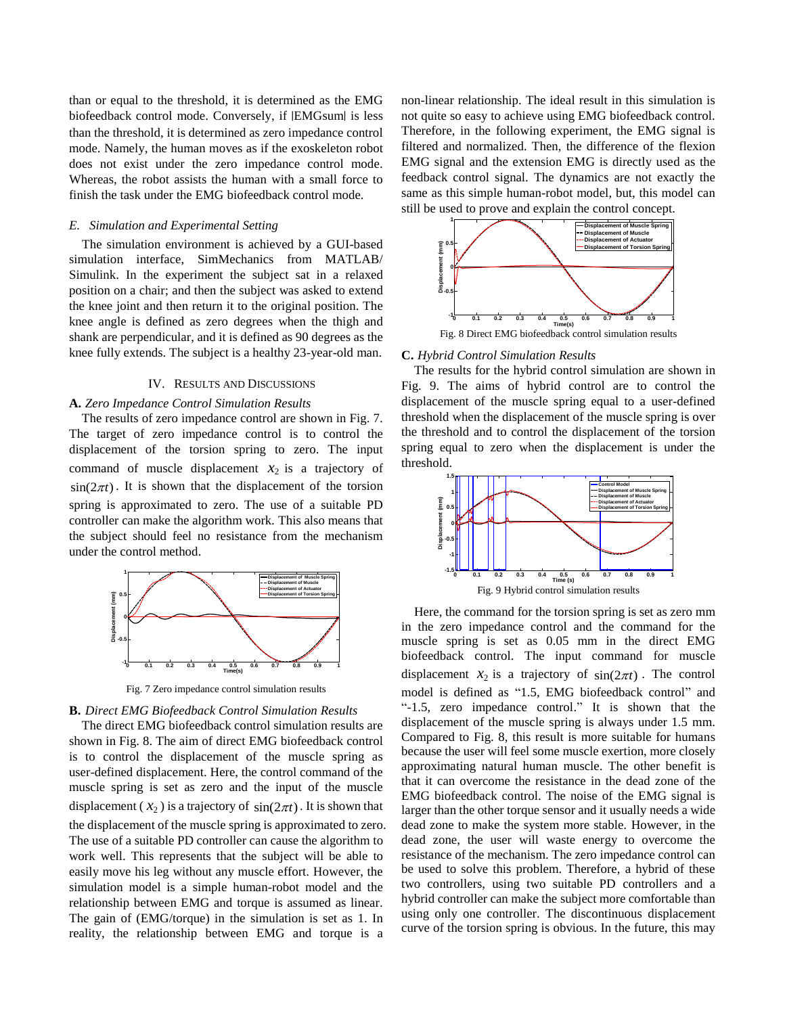than or equal to the threshold, it is determined as the EMG biofeedback control mode. Conversely, if |EMGsum| is less than the threshold, it is determined as zero impedance control mode. Namely, the human moves as if the exoskeleton robot does not exist under the zero impedance control mode. Whereas, the robot assists the human with a small force to finish the task under the EMG biofeedback control mode.

## *E. Simulation and Experimental Setting*

The simulation environment is achieved by a GUI-based simulation interface, SimMechanics from MATLAB/ Simulink. In the experiment the subject sat in a relaxed position on a chair; and then the subject was asked to extend the knee joint and then return it to the original position. The knee angle is defined as zero degrees when the thigh and shank are perpendicular, and it is defined as 90 degrees as the knee fully extends. The subject is a healthy 23-year-old man.

# IV. RESULTS AND DISCUSSIONS

#### **A.** *Zero Impedance Control Simulation Results*

The results of zero impedance control are shown in Fig. 7. The target of zero impedance control is to control the displacement of the torsion spring to zero. The input command of muscle displacement  $x_2$  is a trajectory of  $\sin(2\pi t)$ . It is shown that the displacement of the torsion spring is approximated to zero. The use of a suitable PD controller can make the algorithm work. This also means that the subject should feel no resistance from the mechanism under the control method.



Fig. 7 Zero impedance control simulation results

## **B.** *Direct EMG Biofeedback Control Simulation Results*

The direct EMG biofeedback control simulation results are shown in Fig. 8. The aim of direct EMG biofeedback control is to control the displacement of the muscle spring as user-defined displacement. Here, the control command of the muscle spring is set as zero and the input of the muscle displacement ( $x_2$ ) is a trajectory of  $sin(2\pi t)$ . It is shown that the displacement of the muscle spring is approximated to zero. The use of a suitable PD controller can cause the algorithm to work well. This represents that the subject will be able to easily move his leg without any muscle effort. However, the simulation model is a simple human-robot model and the relationship between EMG and torque is assumed as linear. The gain of (EMG/torque) in the simulation is set as 1. In reality, the relationship between EMG and torque is a

non-linear relationship. The ideal result in this simulation is not quite so easy to achieve using EMG biofeedback control. Therefore, in the following experiment, the EMG signal is filtered and normalized. Then, the difference of the flexion EMG signal and the extension EMG is directly used as the feedback control signal. The dynamics are not exactly the same as this simple human-robot model, but, this model can still be used to prove and explain the control concept.



## **C.** *Hybrid Control Simulation Results*

The results for the hybrid control simulation are shown in Fig. 9. The aims of hybrid control are to control the displacement of the muscle spring equal to a user-defined threshold when the displacement of the muscle spring is over the threshold and to control the displacement of the torsion spring equal to zero when the displacement is under the threshold.



Here, the command for the torsion spring is set as zero mm in the zero impedance control and the command for the muscle spring is set as 0.05 mm in the direct EMG biofeedback control. The input command for muscle displacement  $x_2$  is a trajectory of  $sin(2\pi t)$ . The control model is defined as "1.5, EMG biofeedback control" and "-1.5, zero impedance control." It is shown that the displacement of the muscle spring is always under 1.5 mm. Compared to Fig. 8, this result is more suitable for humans because the user will feel some muscle exertion, more closely approximating natural human muscle. The other benefit is that it can overcome the resistance in the dead zone of the EMG biofeedback control. The noise of the EMG signal is larger than the other torque sensor and it usually needs a wide dead zone to make the system more stable. However, in the dead zone, the user will waste energy to overcome the resistance of the mechanism. The zero impedance control can be used to solve this problem. Therefore, a hybrid of these two controllers, using two suitable PD controllers and a hybrid controller can make the subject more comfortable than using only one controller. The discontinuous displacement curve of the torsion spring is obvious. In the future, this may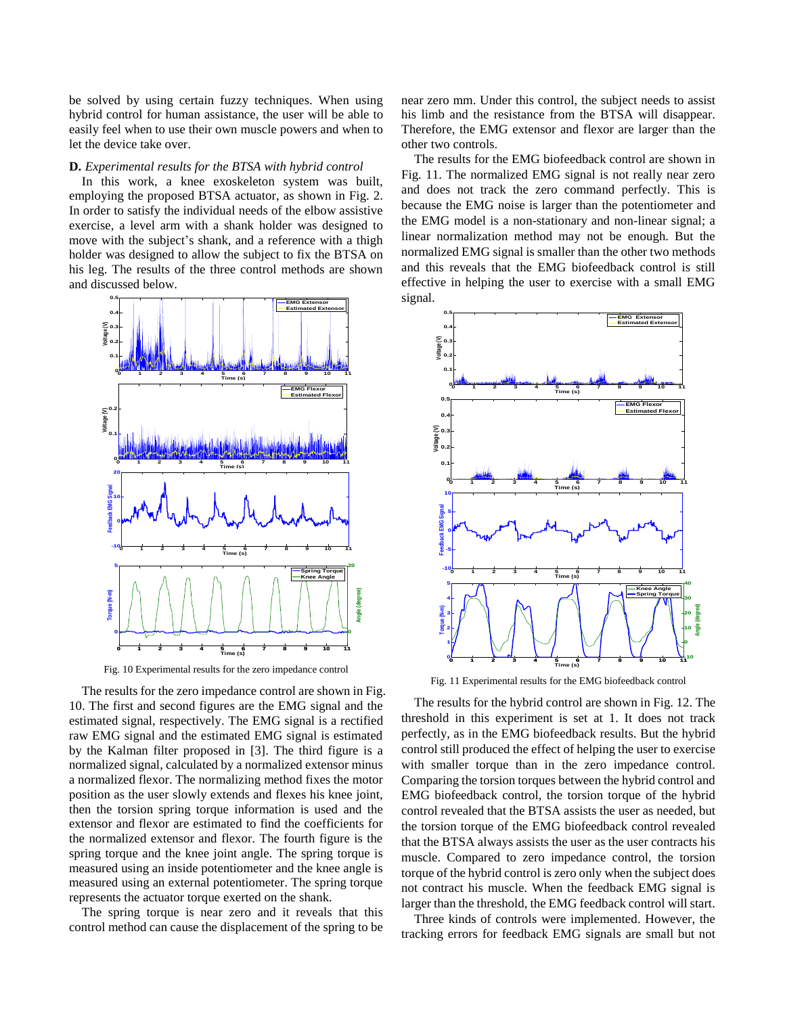be solved by using certain fuzzy techniques. When using hybrid control for human assistance, the user will be able to easily feel when to use their own muscle powers and when to let the device take over.

#### **D.** *Experimental results for the BTSA with hybrid control*

In this work, a knee exoskeleton system was built, employing the proposed BTSA actuator, as shown in Fig. 2. In order to satisfy the individual needs of the elbow assistive exercise, a level arm with a shank holder was designed to move with the subject's shank, and a reference with a thigh holder was designed to allow the subject to fix the BTSA on his leg. The results of the three control methods are shown and discussed below.



Fig. 10 Experimental results for the zero impedance control

The results for the zero impedance control are shown in Fig. 10. The first and second figures are the EMG signal and the estimated signal, respectively. The EMG signal is a rectified raw EMG signal and the estimated EMG signal is estimated by the Kalman filter proposed in [\[3\]](#page-5-13). The third figure is a normalized signal, calculated by a normalized extensor minus a normalized flexor. The normalizing method fixes the motor position as the user slowly extends and flexes his knee joint, then the torsion spring torque information is used and the extensor and flexor are estimated to find the coefficients for the normalized extensor and flexor. The fourth figure is the spring torque and the knee joint angle. The spring torque is measured using an inside potentiometer and the knee angle is measured using an external potentiometer. The spring torque represents the actuator torque exerted on the shank.

The spring torque is near zero and it reveals that this control method can cause the displacement of the spring to be

near zero mm. Under this control, the subject needs to assist his limb and the resistance from the BTSA will disappear. Therefore, the EMG extensor and flexor are larger than the other two controls.

The results for the EMG biofeedback control are shown in Fig. 11. The normalized EMG signal is not really near zero and does not track the zero command perfectly. This is because the EMG noise is larger than the potentiometer and the EMG model is a non-stationary and non-linear signal; a linear normalization method may not be enough. But the normalized EMG signal is smaller than the other two methods and this reveals that the EMG biofeedback control is still effective in helping the user to exercise with a small EMG signal.



Fig. 11 Experimental results for the EMG biofeedback control

The results for the hybrid control are shown in Fig. 12. The threshold in this experiment is set at 1. It does not track perfectly, as in the EMG biofeedback results. But the hybrid control still produced the effect of helping the user to exercise with smaller torque than in the zero impedance control. Comparing the torsion torques between the hybrid control and EMG biofeedback control, the torsion torque of the hybrid control revealed that the BTSA assists the user as needed, but the torsion torque of the EMG biofeedback control revealed that the BTSA always assists the user as the user contracts his muscle. Compared to zero impedance control, the torsion torque of the hybrid control is zero only when the subject does not contract his muscle. When the feedback EMG signal is larger than the threshold, the EMG feedback control will start.

Three kinds of controls were implemented. However, the tracking errors for feedback EMG signals are small but not